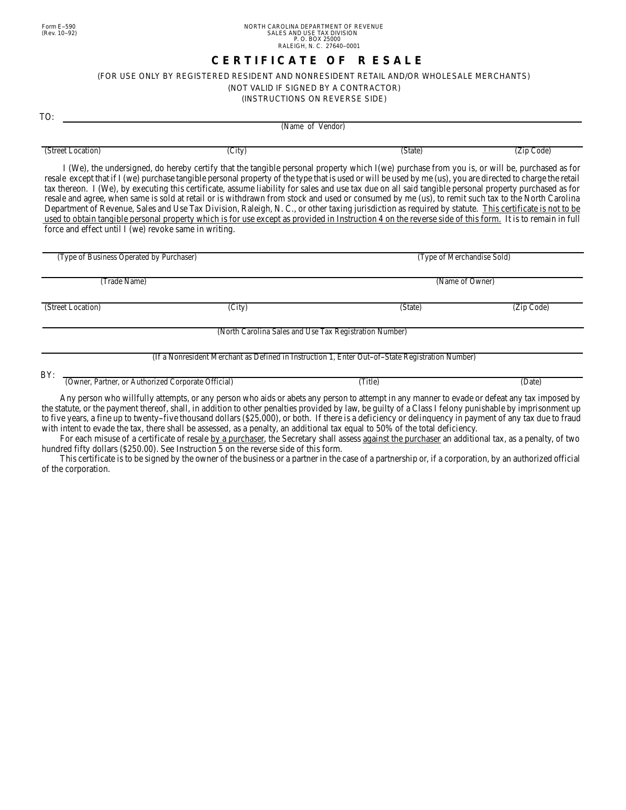## **C E R T I F I C A T E O F R E S A L E**

## *(FOR USE ONLY BY REGISTERED RESIDENT AND NONRESIDENT RETAIL AND/OR WHOLESALE MERCHANTS)*

(NOT VALID IF SIGNED BY A CONTRACTOR)

(INSTRUCTIONS ON REVERSE SIDE)

TO:

(Name of Vendor)

(Street Location) (City) (State) (Zip Code)

I (We), the undersigned, do hereby certify that the tangible personal property which I(we) purchase from you is, or will be, purchased as for resale except that if I (we) purchase tangible personal property of the type that is used or will be used by me (us), you are directed to charge the retail tax thereon. I (We), by executing this certificate, assume liability for sales and use tax due on all said tangible personal property purchased as for resale and agree, when same is sold at retail or is withdrawn from stock and used or consumed by me (us), to remit such tax to the North Carolina Department of Revenue, Sales and Use Tax Division, Raleigh, N. C., or other taxing jurisdiction as required by statute. This certificate is not to be used to obtain tangible personal property which is for use except as provided in Instruction 4 on the reverse side of this form. It is to remain in full force and effect until I (we) revoke same in writing.

| (Type of Business Operated by Purchaser)                  |                                                                                                 | (Type of Merchandise Sold) |            |
|-----------------------------------------------------------|-------------------------------------------------------------------------------------------------|----------------------------|------------|
| (Trade Name)                                              |                                                                                                 | (Name of Owner)            |            |
| (Street Location)                                         | $(\overline{City})$                                                                             | (State)                    | (Zip Code) |
|                                                           | (North Carolina Sales and Use Tax Registration Number)                                          |                            |            |
|                                                           | (If a Nonresident Merchant as Defined in Instruction 1, Enter Out-of-State Registration Number) |                            |            |
| BY:<br>(Owner, Partner, or Authorized Corporate Official) |                                                                                                 | (Title)                    | (Date)     |

Any person who willfully attempts, or any person who aids or abets any person to attempt in any manner to evade or defeat any tax imposed by the statute, or the payment thereof, shall, in addition to other penalties provided by law, be guilty of a Class I felony punishable by imprisonment up to five years, a fine up to twenty--five thousand dollars (\$25,000), or both. If there is a deficiency or delinquency in payment of any tax due to fraud with intent to evade the tax, there shall be assessed, as a penalty, an additional tax equal to 50% of the total deficiency.

For each misuse of a certificate of resale by a purchaser, the Secretary shall assess against the purchaser an additional tax, as a penalty, of two hundred fifty dollars (\$250.00). See Instruction 5 on the reverse side of this form.

This certificate is to be signed by the owner of the business or a partner in the case of a partnership or, if a corporation, by an authorized official of the corporation.